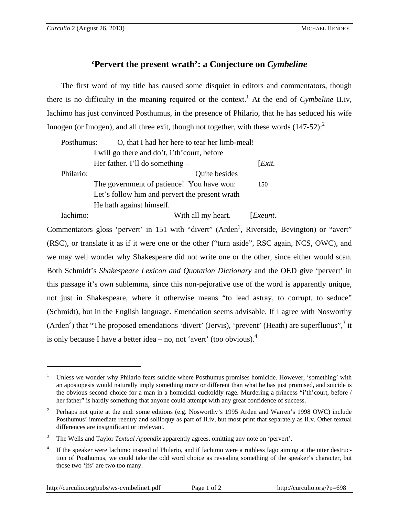## **'Pervert the present wrath': a Conjecture on** *Cymbeline*

The first word of my title has caused some disquiet in editors and commentators, though there is no difficulty in the meaning required or the context.<sup>1</sup> At the end of *Cymbeline* II.iv, Iachimo has just convinced Posthumus, in the presence of Philario, that he has seduced his wife Innogen (or Imogen), and all three exit, though not together, with these words  $(147-52)$ :

| O, that I had her here to tear her limb-meal!<br>Posthumus: |                                                |          |
|-------------------------------------------------------------|------------------------------------------------|----------|
| I will go there and do't, i'th' court, before               |                                                |          |
|                                                             | Her father. I'll do something $-$              | [Exit.   |
| Philario:                                                   | Quite besides                                  |          |
|                                                             | The government of patience! You have won:      | 150      |
|                                                             | Let's follow him and pervert the present wrath |          |
|                                                             | He hath against himself.                       |          |
| Iachimo:                                                    | With all my heart.                             | [Exeunt. |

Commentators gloss 'pervert' in 151 with "divert" (Arden<sup>2</sup>, Riverside, Bevington) or "avert" (RSC), or translate it as if it were one or the other ("turn aside", RSC again, NCS, OWC), and we may well wonder why Shakespeare did not write one or the other, since either would scan. Both Schmidt's *Shakespeare Lexicon and Quotation Dictionary* and the OED give 'pervert' in this passage it's own sublemma, since this non-pejorative use of the word is apparently unique, not just in Shakespeare, where it otherwise means "to lead astray, to corrupt, to seduce" (Schmidt), but in the English language. Emendation seems advisable. If I agree with Nosworthy (Arden<sup>2</sup>) that "The proposed emendations 'divert' (Jervis), 'prevent' (Heath) are superfluous",<sup>3</sup> it is only because I have a better idea – no, not 'avert' (too obvious). $<sup>4</sup>$ </sup>

 $\overline{a}$ 

<sup>1</sup> Unless we wonder why Philario fears suicide where Posthumus promises homicide. However, 'something' with an aposiopesis would naturally imply something more or different than what he has just promised, and suicide is the obvious second choice for a man in a homicidal cuckoldly rage. Murdering a princess "i'th'court, before / her father" is hardly something that anyone could attempt with any great confidence of success.

<sup>2</sup> Perhaps not quite at the end: some editions (e.g. Nosworthy's 1995 Arden and Warren's 1998 OWC) include Posthumus' immediate reentry and soliloquy as part of II.iv, but most print that separately as II.v. Other textual differences are insignificant or irrelevant.

<sup>3</sup> The Wells and Taylor *Textual Appendix* apparently agrees, omitting any note on 'pervert'.

<sup>4</sup> If the speaker were Iachimo instead of Philario, and if Iachimo were a ruthless Iago aiming at the utter destruction of Posthumus, we could take the odd word choice as revealing something of the speaker's character, but those two 'ifs' are two too many.